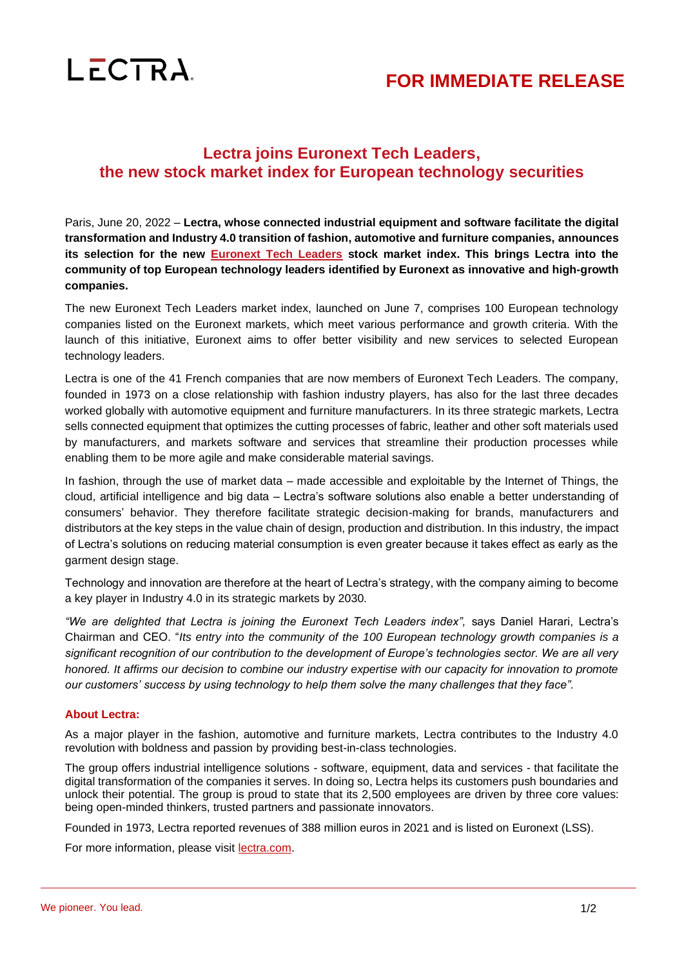

## **FOR IMMEDIATE RELEASE**

## **Lectra joins Euronext Tech Leaders, the new stock market index for European technology securities**

Paris, June 20, 2022 – **Lectra, whose connected industrial equipment and software facilitate the digital transformation and Industry 4.0 transition of fashion, automotive and furniture companies, announces its selection for the new [Euronext Tech Leaders](https://www.euronext.com/en/raise-capital/euronext-tech-leaders) stock market index. This brings Lectra into the community of top European technology leaders identified by Euronext as innovative and high-growth companies.**

The new Euronext Tech Leaders market index, launched on June 7, comprises 100 European technology companies listed on the Euronext markets, which meet various performance and growth criteria. With the launch of this initiative, Euronext aims to offer better visibility and new services to selected European technology leaders.

Lectra is one of the 41 French companies that are now members of Euronext Tech Leaders. The company, founded in 1973 on a close relationship with fashion industry players, has also for the last three decades worked globally with automotive equipment and furniture manufacturers. In its three strategic markets, Lectra sells connected equipment that optimizes the cutting processes of fabric, leather and other soft materials used by manufacturers, and markets software and services that streamline their production processes while enabling them to be more agile and make considerable material savings.

In fashion, through the use of market data – made accessible and exploitable by the Internet of Things, the cloud, artificial intelligence and big data – Lectra's software solutions also enable a better understanding of consumers' behavior. They therefore facilitate strategic decision-making for brands, manufacturers and distributors at the key steps in the value chain of design, production and distribution. In this industry, the impact of Lectra's solutions on reducing material consumption is even greater because it takes effect as early as the garment design stage.

Technology and innovation are therefore at the heart of Lectra's strategy, with the company aiming to become a key player in Industry 4.0 in its strategic markets by 2030.

"We are delighted that Lectra is joining the Euronext Tech Leaders index", says Daniel Harari, Lectra's Chairman and CEO. "*Its entry into the community of the 100 European technology growth companies is a significant recognition of our contribution to the development of Europe's technologies sector. We are all very honored. It affirms our decision to combine our industry expertise with our capacity for innovation to promote our customers' success by using technology to help them solve the many challenges that they face".*

## **About Lectra:**

As a major player in the fashion, automotive and furniture markets, Lectra contributes to the Industry 4.0 revolution with boldness and passion by providing best-in-class technologies.

The group offers industrial intelligence solutions - software, equipment, data and services - that facilitate the digital transformation of the companies it serves. In doing so, Lectra helps its customers push boundaries and unlock their potential. The group is proud to state that its 2,500 employees are driven by three core values: being open-minded thinkers, trusted partners and passionate innovators.

Founded in 1973, Lectra reported revenues of 388 million euros in 2021 and is listed on Euronext (LSS).

For more information, please visit **lectra.com**.